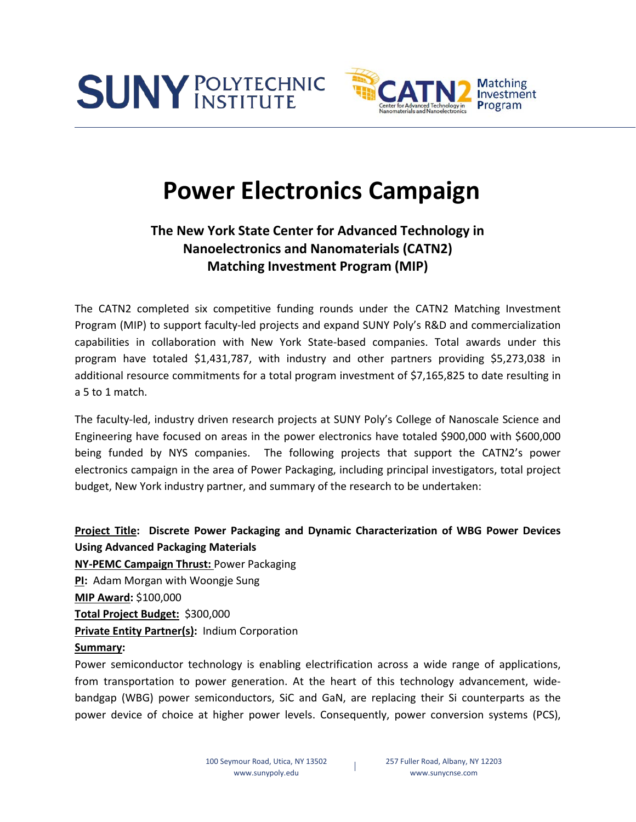



# **Power Electronics Campaign**

# **The New York State Center for Advanced Technology in Nanoelectronics and Nanomaterials (CATN2) Matching Investment Program (MIP)**

The CATN2 completed six competitive funding rounds under the CATN2 Matching Investment Program (MIP) to support faculty-led projects and expand SUNY Poly's R&D and commercialization capabilities in collaboration with New York State-based companies. Total awards under this program have totaled \$1,431,787, with industry and other partners providing \$5,273,038 in additional resource commitments for a total program investment of \$7,165,825 to date resulting in a 5 to 1 match.

The faculty-led, industry driven research projects at SUNY Poly's College of Nanoscale Science and Engineering have focused on areas in the power electronics have totaled \$900,000 with \$600,000 being funded by NYS companies. The following projects that support the CATN2's power electronics campaign in the area of Power Packaging, including principal investigators, total project budget, New York industry partner, and summary of the research to be undertaken:

## **Project Title: Discrete Power Packaging and Dynamic Characterization of WBG Power Devices Using Advanced Packaging Materials**

**NY-PEMC Campaign Thrust:** Power Packaging **PI:** Adam Morgan with Woongje Sung **MIP Award:** \$100,000 **Total Project Budget:** \$300,000 **Private Entity Partner(s): Indium Corporation** 

### **Summary:**

Power semiconductor technology is enabling electrification across a wide range of applications, from transportation to power generation. At the heart of this technology advancement, widebandgap (WBG) power semiconductors, SiC and GaN, are replacing their Si counterparts as the power device of choice at higher power levels. Consequently, power conversion systems (PCS),